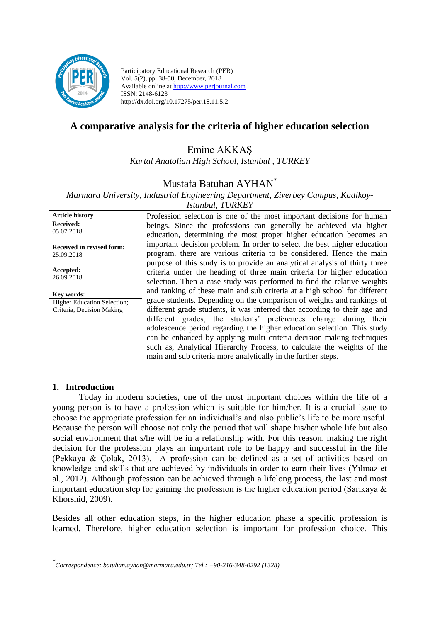

Participatory Educational Research (PER) Vol. 5(2), pp. 38-50, December, 2018 Available online at http://www.perjournal.com ISSN: 2148-6123 http://dx.doi.org/10.17275/per.18.11.5.2

# **A comparative analysis for the criteria of higher education selection**

Emine AKKAŞ

*Kartal Anatolian High School, Istanbul , TURKEY*

## Mustafa Batuhan AYHAN\*

*Marmara University, Industrial Engineering Department, Ziverbey Campus, Kadikoy-Istanbul, TURKEY*

| ISIANDAL, I UNNEI                  |                                                                            |  |  |  |  |  |
|------------------------------------|----------------------------------------------------------------------------|--|--|--|--|--|
| <b>Article history</b>             | Profession selection is one of the most important decisions for human      |  |  |  |  |  |
| <b>Received:</b><br>05.07.2018     | beings. Since the professions can generally be achieved via higher         |  |  |  |  |  |
|                                    | education, determining the most proper higher education becomes an         |  |  |  |  |  |
| Received in revised form:          | important decision problem. In order to select the best higher education   |  |  |  |  |  |
| 25.09.2018                         | program, there are various criteria to be considered. Hence the main       |  |  |  |  |  |
|                                    | purpose of this study is to provide an analytical analysis of thirty three |  |  |  |  |  |
| Accepted:<br>26.09.2018            | criteria under the heading of three main criteria for higher education     |  |  |  |  |  |
|                                    | selection. Then a case study was performed to find the relative weights    |  |  |  |  |  |
| Key words:                         | and ranking of these main and sub criteria at a high school for different  |  |  |  |  |  |
| <b>Higher Education Selection:</b> | grade students. Depending on the comparison of weights and rankings of     |  |  |  |  |  |
| Criteria, Decision Making          | different grade students, it was inferred that according to their age and  |  |  |  |  |  |
|                                    | different grades, the students' preferences change during their            |  |  |  |  |  |
|                                    | adolescence period regarding the higher education selection. This study    |  |  |  |  |  |
|                                    | can be enhanced by applying multi criteria decision making techniques      |  |  |  |  |  |
|                                    | such as, Analytical Hierarchy Process, to calculate the weights of the     |  |  |  |  |  |
|                                    | main and sub criteria more analytically in the further steps.              |  |  |  |  |  |

### **1. Introduction**

<u>.</u>

Today in modern societies, one of the most important choices within the life of a young person is to have a profession which is suitable for him/her. It is a crucial issue to choose the appropriate profession for an individual's and also public's life to be more useful. Because the person will choose not only the period that will shape his/her whole life but also social environment that s/he will be in a relationship with. For this reason, making the right decision for the profession plays an important role to be happy and successful in the life (Pekkaya & Çolak, 2013). A profession can be defined as a set of activities based on knowledge and skills that are achieved by individuals in order to earn their lives (Yılmaz et al., 2012). Although profession can be achieved through a lifelong process, the last and most important education step for gaining the profession is the higher education period (Sarıkaya  $\&$ Khorshid, 2009).

Besides all other education steps, in the higher education phase a specific profession is learned. Therefore, higher education selection is important for profession choice. This

*<sup>\*</sup> Correspondence: batuhan.ayhan@marmara.edu.tr; Tel.: +90-216-348-0292 (1328)*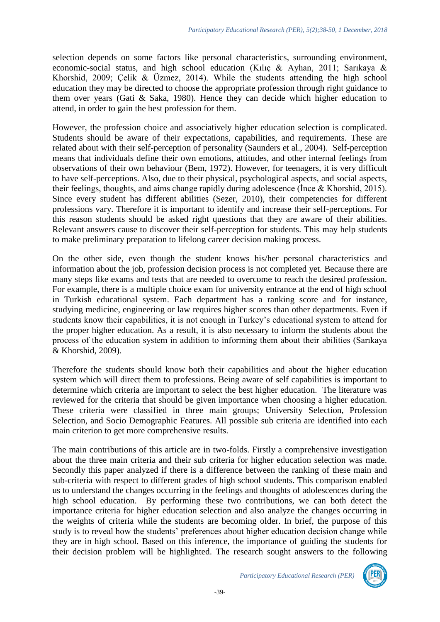selection depends on some factors like personal characteristics, surrounding environment, economic-social status, and high school education (Kılıç & Ayhan, 2011; Sarıkaya & Khorshid, 2009; Çelik & Üzmez, 2014). While the students attending the high school education they may be directed to choose the appropriate profession through right guidance to them over years (Gati & Saka, 1980). Hence they can decide which higher education to attend, in order to gain the best profession for them.

However, the profession choice and associatively higher education selection is complicated. Students should be aware of their expectations, capabilities, and requirements. These are related about with their self-perception of personality (Saunders et al., 2004). Self-perception means that individuals define their own emotions, attitudes, and other internal feelings from observations of their own behaviour (Bem, 1972). However, for teenagers, it is very difficult to have self-perceptions. Also, due to their physical, psychological aspects, and social aspects, their feelings, thoughts, and aims change rapidly during adolescence (İnce & Khorshid, 2015). Since every student has different abilities (Sezer, 2010), their competencies for different professions vary. Therefore it is important to identify and increase their self-perceptions. For this reason students should be asked right questions that they are aware of their abilities. Relevant answers cause to discover their self-perception for students. This may help students to make preliminary preparation to lifelong career decision making process.

On the other side, even though the student knows his/her personal characteristics and information about the job, profession decision process is not completed yet. Because there are many steps like exams and tests that are needed to overcome to reach the desired profession. For example, there is a multiple choice exam for university entrance at the end of high school in Turkish educational system. Each department has a ranking score and for instance, studying medicine, engineering or law requires higher scores than other departments. Even if students know their capabilities, it is not enough in Turkey's educational system to attend for the proper higher education. As a result, it is also necessary to inform the students about the process of the education system in addition to informing them about their abilities (Sarıkaya & Khorshid, 2009).

Therefore the students should know both their capabilities and about the higher education system which will direct them to professions. Being aware of self capabilities is important to determine which criteria are important to select the best higher education. The literature was reviewed for the criteria that should be given importance when choosing a higher education. These criteria were classified in three main groups; University Selection, Profession Selection, and Socio Demographic Features. All possible sub criteria are identified into each main criterion to get more comprehensive results.

The main contributions of this article are in two-folds. Firstly a comprehensive investigation about the three main criteria and their sub criteria for higher education selection was made. Secondly this paper analyzed if there is a difference between the ranking of these main and sub-criteria with respect to different grades of high school students. This comparison enabled us to understand the changes occurring in the feelings and thoughts of adolescences during the high school education. By performing these two contributions, we can both detect the importance criteria for higher education selection and also analyze the changes occurring in the weights of criteria while the students are becoming older. In brief, the purpose of this study is to reveal how the students' preferences about higher education decision change while they are in high school. Based on this inference, the importance of guiding the students for their decision problem will be highlighted. The research sought answers to the following

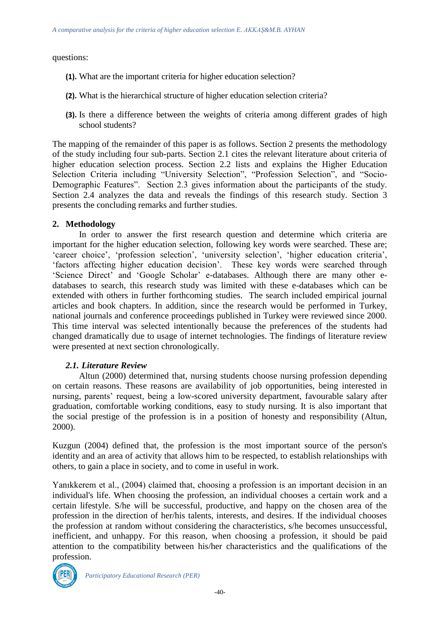questions:

- **(1).** What are the important criteria for higher education selection?
- **(2).** What is the hierarchical structure of higher education selection criteria?
- **(3).** Is there a difference between the weights of criteria among different grades of high school students?

The mapping of the remainder of this paper is as follows. Section 2 presents the methodology of the study including four sub-parts. Section 2.1 cites the relevant literature about criteria of higher education selection process. Section 2.2 lists and explains the Higher Education Selection Criteria including "University Selection", "Profession Selection", and "Socio-Demographic Features". Section 2.3 gives information about the participants of the study. Section 2.4 analyzes the data and reveals the findings of this research study. Section 3 presents the concluding remarks and further studies.

## **2. Methodology**

In order to answer the first research question and determine which criteria are important for the higher education selection, following key words were searched. These are; 'career choice', 'profession selection', 'university selection', 'higher education criteria', 'factors affecting higher education decision'. These key words were searched through 'Science Direct' and 'Google Scholar' e-databases. Although there are many other edatabases to search, this research study was limited with these e-databases which can be extended with others in further forthcoming studies. The search included empirical journal articles and book chapters. In addition, since the research would be performed in Turkey, national journals and conference proceedings published in Turkey were reviewed since 2000. This time interval was selected intentionally because the preferences of the students had changed dramatically due to usage of internet technologies. The findings of literature review were presented at next section chronologically.

### *2.1. Literature Review*

Altun (2000) determined that, nursing students choose nursing profession depending on certain reasons. These reasons are availability of job opportunities, being interested in nursing, parents' request, being a low-scored university department, favourable salary after graduation, comfortable working conditions, easy to study nursing. It is also important that the social prestige of the profession is in a position of honesty and responsibility (Altun, 2000).

Kuzgun (2004) defined that, the profession is the most important source of the person's identity and an area of activity that allows him to be respected, to establish relationships with others, to gain a place in society, and to come in useful in work.

Yanıkkerem et al., (2004) claimed that, choosing a profession is an important decision in an individual's life. When choosing the profession, an individual chooses a certain work and a certain lifestyle. S/he will be successful, productive, and happy on the chosen area of the profession in the direction of her/his talents, interests, and desires. If the individual chooses the profession at random without considering the characteristics, s/he becomes unsuccessful, inefficient, and unhappy. For this reason, when choosing a profession, it should be paid attention to the compatibility between his/her characteristics and the qualifications of the profession.



*Participatory Educational Research (PER)*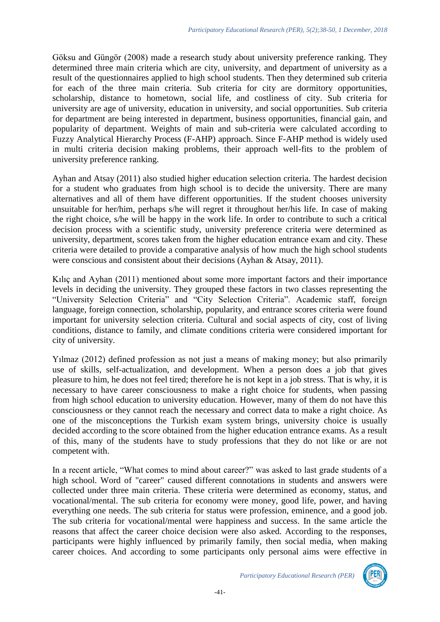Göksu and Güngör (2008) made a research study about university preference ranking. They determined three main criteria which are city, university, and department of university as a result of the questionnaires applied to high school students. Then they determined sub criteria for each of the three main criteria. Sub criteria for city are dormitory opportunities, scholarship, distance to hometown, social life, and costliness of city. Sub criteria for university are age of university, education in university, and social opportunities. Sub criteria for department are being interested in department, business opportunities, financial gain, and popularity of department. Weights of main and sub-criteria were calculated according to Fuzzy Analytical Hierarchy Process (F-AHP) approach. Since F-AHP method is widely used in multi criteria decision making problems, their approach well-fits to the problem of university preference ranking.

Ayhan and Atsay (2011) also studied higher education selection criteria. The hardest decision for a student who graduates from high school is to decide the university. There are many alternatives and all of them have different opportunities. If the student chooses university unsuitable for her/him, perhaps s/he will regret it throughout her/his life. In case of making the right choice, s/he will be happy in the work life. In order to contribute to such a critical decision process with a scientific study, university preference criteria were determined as university, department, scores taken from the higher education entrance exam and city. These criteria were detailed to provide a comparative analysis of how much the high school students were conscious and consistent about their decisions (Ayhan & Atsay, 2011).

Kılıç and Ayhan (2011) mentioned about some more important factors and their importance levels in deciding the university. They grouped these factors in two classes representing the "University Selection Criteria" and "City Selection Criteria". Academic staff, foreign language, foreign connection, scholarship, popularity, and entrance scores criteria were found important for university selection criteria. Cultural and social aspects of city, cost of living conditions, distance to family, and climate conditions criteria were considered important for city of university.

Yılmaz (2012) defined profession as not just a means of making money; but also primarily use of skills, self-actualization, and development. When a person does a job that gives pleasure to him, he does not feel tired; therefore he is not kept in a job stress. That is why, it is necessary to have career consciousness to make a right choice for students, when passing from high school education to university education. However, many of them do not have this consciousness or they cannot reach the necessary and correct data to make a right choice. As one of the misconceptions the Turkish exam system brings, university choice is usually decided according to the score obtained from the higher education entrance exams. As a result of this, many of the students have to study professions that they do not like or are not competent with.

In a recent article, "What comes to mind about career?" was asked to last grade students of a high school. Word of "career" caused different connotations in students and answers were collected under three main criteria. These criteria were determined as economy, status, and vocational/mental. The sub criteria for economy were money, good life, power, and having everything one needs. The sub criteria for status were profession, eminence, and a good job. The sub criteria for vocational/mental were happiness and success. In the same article the reasons that affect the career choice decision were also asked. According to the responses, participants were highly influenced by primarily family, then social media, when making career choices. And according to some participants only personal aims were effective in

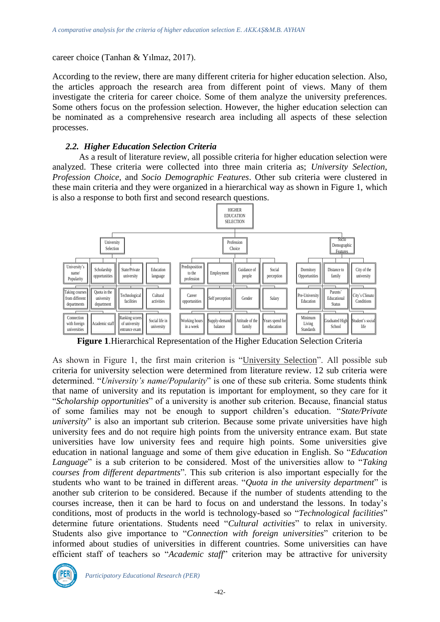career choice (Tanhan & Yılmaz, 2017).

According to the review, there are many different criteria for higher education selection. Also, the articles approach the research area from different point of views. Many of them investigate the criteria for career choice. Some of them analyze the university preferences. Some others focus on the profession selection. However, the higher education selection can be nominated as a comprehensive research area including all aspects of these selection processes.

#### *2.2. Higher Education Selection Criteria*

As a result of literature review, all possible criteria for higher education selection were analyzed. These criteria were collected into three main criteria as; *University Selection*, *Profession Choice,* and *Socio Demographic Features*. Other sub criteria were clustered in these main criteria and they were organized in a hierarchical way as shown in Figure 1, which is also a response to both first and second research questions.



**Figure 1**.Hierarchical Representation of the Higher Education Selection Criteria

As shown in Figure 1, the first main criterion is "University Selection". All possible sub criteria for university selection were determined from literature review. 12 sub criteria were determined. "*University's name/Popularity*" is one of these sub criteria. Some students think that name of university and its reputation is important for employment, so they care for it "*Scholarship opportunities*" of a university is another sub criterion. Because, financial status of some families may not be enough to support children's education. "*State/Private university*" is also an important sub criterion. Because some private universities have high university fees and do not require high points from the university entrance exam. But state universities have low university fees and require high points. Some universities give education in national language and some of them give education in English. So "*Education Language*" is a sub criterion to be considered. Most of the universities allow to "*Taking courses from different departments*". This sub criterion is also important especially for the students who want to be trained in different areas. "*Quota in the university department*" is another sub criterion to be considered. Because if the number of students attending to the courses increase, then it can be hard to focus on and understand the lessons. In today's conditions, most of products in the world is technology-based so "*Technological facilities*" determine future orientations. Students need "*Cultural activities*" to relax in university. Students also give importance to "*Connection with foreign universities*" criterion to be informed about studies of universities in different countries. Some universities can have efficient staff of teachers so "*Academic staff*" criterion may be attractive for university

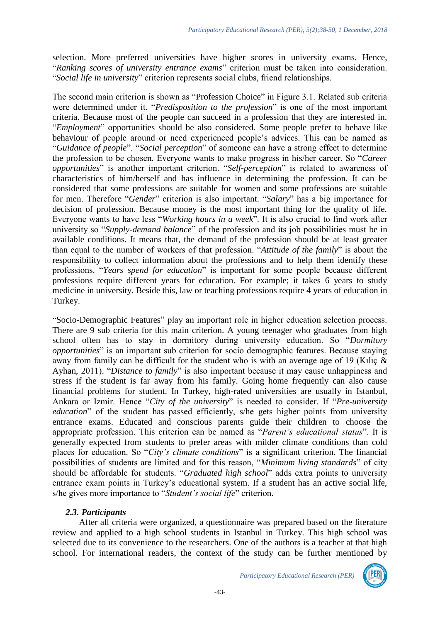selection. More preferred universities have higher scores in university exams. Hence, "*Ranking scores of university entrance exams*" criterion must be taken into consideration. "*Social life in university*" criterion represents social clubs, friend relationships.

The second main criterion is shown as "Profession Choice" in Figure 3.1. Related sub criteria were determined under it. "*Predisposition to the profession*" is one of the most important criteria. Because most of the people can succeed in a profession that they are interested in. "*Employment*" opportunities should be also considered. Some people prefer to behave like behaviour of people around or need experienced people's advices. This can be named as "*Guidance of people*". "*Social perception*" of someone can have a strong effect to determine the profession to be chosen. Everyone wants to make progress in his/her career. So "*Career opportunities*" is another important criterion. "*Self-perception*" is related to awareness of characteristics of him/herself and has influence in determining the profession. It can be considered that some professions are suitable for women and some professions are suitable for men. Therefore "*Gender*" criterion is also important. "*Salary*" has a big importance for decision of profession. Because money is the most important thing for the quality of life. Everyone wants to have less "*Working hours in a week*". It is also crucial to find work after university so "*Supply-demand balance*" of the profession and its job possibilities must be in available conditions. It means that, the demand of the profession should be at least greater than equal to the number of workers of that profession. "*Attitude of the family*" is about the responsibility to collect information about the professions and to help them identify these professions. "*Years spend for education*" is important for some people because different professions require different years for education. For example; it takes 6 years to study medicine in university. Beside this, law or teaching professions require 4 years of education in Turkey.

"Socio-Demographic Features" play an important role in higher education selection process. There are 9 sub criteria for this main criterion. A young teenager who graduates from high school often has to stay in dormitory during university education. So "*Dormitory opportunities*" is an important sub criterion for socio demographic features. Because staying away from family can be difficult for the student who is with an average age of 19 (Kılıç & Ayhan, 2011). "*Distance to family*" is also important because it may cause unhappiness and stress if the student is far away from his family. Going home frequently can also cause financial problems for student. In Turkey, high-rated universities are usually in Istanbul, Ankara or Izmir. Hence "*City of the university*" is needed to consider. If "*Pre-university education*" of the student has passed efficiently, s/he gets higher points from university entrance exams. Educated and conscious parents guide their children to choose the appropriate profession. This criterion can be named as "*Parent's educational status*". It is generally expected from students to prefer areas with milder climate conditions than cold places for education. So "*City's climate conditions*" is a significant criterion. The financial possibilities of students are limited and for this reason, "*Minimum living standards*" of city should be affordable for students. "*Graduated high school*" adds extra points to university entrance exam points in Turkey's educational system. If a student has an active social life, s/he gives more importance to "*Student's social life*" criterion.

### *2.3. Participants*

After all criteria were organized, a questionnaire was prepared based on the literature review and applied to a high school students in Istanbul in Turkey. This high school was selected due to its convenience to the researchers. One of the authors is a teacher at that high school. For international readers, the context of the study can be further mentioned by

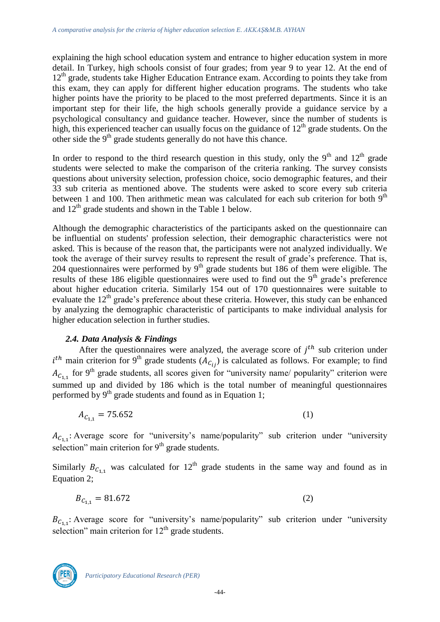explaining the high school education system and entrance to higher education system in more detail. In Turkey, high schools consist of four grades; from year 9 to year 12. At the end of  $12<sup>th</sup>$  grade, students take Higher Education Entrance exam. According to points they take from this exam, they can apply for different higher education programs. The students who take higher points have the priority to be placed to the most preferred departments. Since it is an important step for their life, the high schools generally provide a guidance service by a psychological consultancy and guidance teacher. However, since the number of students is high, this experienced teacher can usually focus on the guidance of  $12<sup>th</sup>$  grade students. On the other side the 9<sup>th</sup> grade students generally do not have this chance.

In order to respond to the third research question in this study, only the  $9<sup>th</sup>$  and  $12<sup>th</sup>$  grade students were selected to make the comparison of the criteria ranking. The survey consists questions about university selection, profession choice, socio demographic features, and their 33 sub criteria as mentioned above. The students were asked to score every sub criteria between 1 and 100. Then arithmetic mean was calculated for each sub criterion for both  $9<sup>th</sup>$ and  $12<sup>th</sup>$  grade students and shown in the Table 1 below.

Although the demographic characteristics of the participants asked on the questionnaire can be influential on students' profession selection, their demographic characteristics were not asked. This is because of the reason that, the participants were not analyzed individually. We took the average of their survey results to represent the result of grade's preference. That is, 204 questionnaires were performed by  $9<sup>th</sup>$  grade students but 186 of them were eligible. The results of these 186 eligible questionnaires were used to find out the  $9<sup>th</sup>$  grade's preference about higher education criteria. Similarly 154 out of 170 questionnaires were suitable to evaluate the  $12<sup>th</sup>$  grade's preference about these criteria. However, this study can be enhanced by analyzing the demographic characteristic of participants to make individual analysis for higher education selection in further studies.

### *2.4. Data Analysis & Findings*

After the questionnaires were analyzed, the average score of  $j<sup>th</sup>$  sub criterion under  $i<sup>th</sup>$  main criterion for 9<sup>th</sup> grade students ( $A<sub>Cii</sub>$ ) is calculated as follows. For example; to find  $A_{C_{1,1}}$  for 9<sup>th</sup> grade students, all scores given for "university name/ popularity" criterion were summed up and divided by 186 which is the total number of meaningful questionnaires performed by  $9<sup>th</sup>$  grade students and found as in Equation 1;

$$
A_{C_{1,1}} = 75.652 \tag{1}
$$

 $A_{C_{1,1}}$ : Average score for "university's name/popularity" sub criterion under "university" selection" main criterion for  $9<sup>th</sup>$  grade students.

Similarly  $B_{c_{1,1}}$  was calculated for 12<sup>th</sup> grade students in the same way and found as in Equation 2;

$$
B_{C_{1,1}} = 81.672 \tag{2}
$$

 $B_{C_{1,1}}$ : Average score for "university's name/popularity" sub criterion under "university" selection" main criterion for  $12<sup>th</sup>$  grade students.

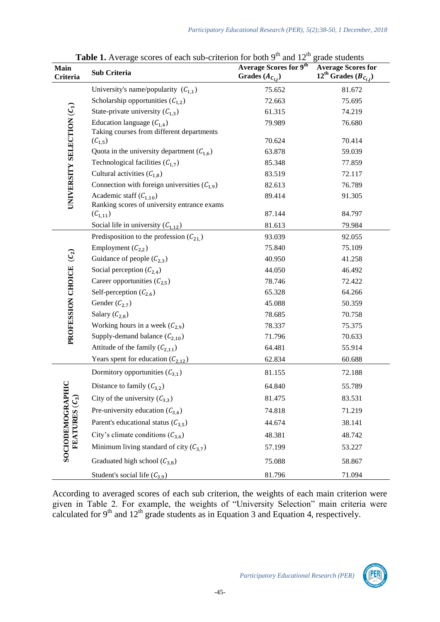| <b>Main</b><br>Criteria                   | <b>THERE I</b> Tryented Scores of each sub-effection for both<br>Sub Criteria | $\frac{1}{2}$<br><b>Average Scores for 9th</b><br>Grades $(A_{C_{i,j}})$ | $\epsilon$ <sup>1</sup> auc beauches<br><b>Average Scores for</b><br>12 <sup>th</sup> Grades ( $B_{C_{i,j}}$ ) |
|-------------------------------------------|-------------------------------------------------------------------------------|--------------------------------------------------------------------------|----------------------------------------------------------------------------------------------------------------|
| UNIVERSITY SELECTION (C1)                 | University's name/popularity $(C_{1,1})$                                      | 75.652                                                                   | 81.672                                                                                                         |
|                                           | Scholarship opportunities $(C_{1,2})$                                         | 72.663                                                                   | 75.695                                                                                                         |
|                                           | State-private university $(C_{1,3})$                                          | 61.315                                                                   | 74.219                                                                                                         |
|                                           | Education language $(C_{1,4})$<br>Taking courses from different departments   | 79.989                                                                   | 76.680                                                                                                         |
|                                           | $(C_{1,5})$                                                                   | 70.624                                                                   | 70.414                                                                                                         |
|                                           | Quota in the university department $(C_{1,6})$                                | 63.878                                                                   | 59.039                                                                                                         |
|                                           | Technological facilities $(C_{1,7})$                                          | 85.348                                                                   | 77.859                                                                                                         |
|                                           | Cultural activities $(C_{1,8})$                                               | 83.519                                                                   | 72.117                                                                                                         |
|                                           | Connection with foreign universities $(C_{1,9})$                              | 82.613                                                                   | 76.789                                                                                                         |
|                                           | Academic staff $(C_{1,10})$<br>Ranking scores of university entrance exams    | 89.414                                                                   | 91.305                                                                                                         |
|                                           | $(C_{1,11})$                                                                  | 87.144                                                                   | 84.797                                                                                                         |
|                                           | Social life in university $(C_{1,12})$                                        | 81.613                                                                   | 79.984                                                                                                         |
|                                           | Predisposition to the profession $(C_{21})$                                   | 93.039                                                                   | 92.055                                                                                                         |
|                                           | Employment $(C_{2,2})$                                                        | 75.840                                                                   | 75.109                                                                                                         |
| PROFESSION CHOICE (C <sub>2</sub> )       | Guidance of people $(C_{2,3})$                                                | 40.950                                                                   | 41.258                                                                                                         |
|                                           | Social perception $(C_{2,4})$                                                 | 44.050                                                                   | 46.492                                                                                                         |
|                                           | Career opportunities $(C_{2.5})$                                              | 78.746                                                                   | 72.422                                                                                                         |
|                                           | Self-perception $(C_{2,6})$                                                   | 65.328                                                                   | 64.266                                                                                                         |
|                                           | Gender $(C_{2.7})$                                                            | 45.088                                                                   | 50.359                                                                                                         |
|                                           | Salary $(\mathcal{C}_{2,8})$                                                  | 78.685                                                                   | 70.758                                                                                                         |
|                                           | Working hours in a week $(C_{2,9})$                                           | 78.337                                                                   | 75.375                                                                                                         |
|                                           | Supply-demand balance $(C_{2,10})$                                            | 71.796                                                                   | 70.633                                                                                                         |
|                                           | Attitude of the family $(C_{2,11})$                                           | 64.481                                                                   | 55.914                                                                                                         |
|                                           | Years spent for education $(C_{2,12})$                                        | 62.834                                                                   | 60.688                                                                                                         |
|                                           | Dormitory opportunities $(C_{3.1})$                                           | 81.155                                                                   | 72.188                                                                                                         |
|                                           | Distance to family $(C_{3,2})$                                                | 64.840                                                                   | 55.789                                                                                                         |
| <b>SOCIODEMOGRAPH</b><br>FEATURES $(C_3)$ | City of the university $(C_{3,3})$                                            | 81.475                                                                   | 83.531                                                                                                         |
|                                           | Pre-university education $(C_{3,4})$                                          | 74.818                                                                   | 71.219                                                                                                         |
|                                           | Parent's educational status $(C_{3,5})$                                       | 44.674                                                                   | 38.141                                                                                                         |
|                                           | City's climate conditions $(C_{3,6})$                                         | 48.381                                                                   | 48.742                                                                                                         |
|                                           | Minimum living standard of city $(C_{3,7})$                                   | 57.199                                                                   | 53.227                                                                                                         |
|                                           | Graduated high school $(C_{3,8})$                                             | 75.088                                                                   | 58.867                                                                                                         |
|                                           | Student's social life $(C_{3,9})$                                             | 81.796                                                                   | 71.094                                                                                                         |

**Table 1.** Average scores of each sub-criterion for both 9<sup>th</sup> and 12<sup>th</sup> grade students

According to averaged scores of each sub criterion, the weights of each main criterion were given in Table 2. For example, the weights of "University Selection" main criteria were calculated for  $9<sup>th</sup>$  and  $12<sup>th</sup>$  grade students as in Equation 3 and Equation 4, respectively.

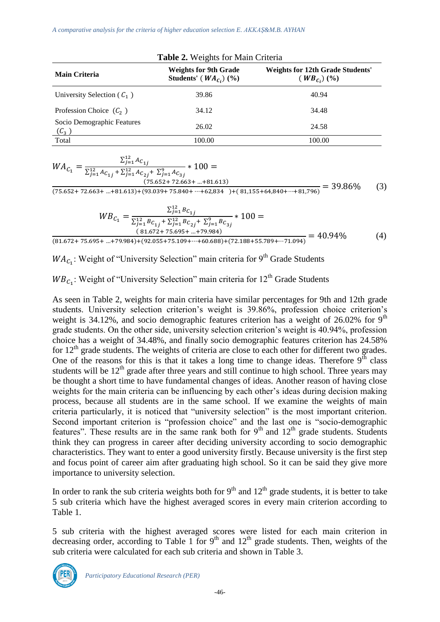*A comparative analysis for the criteria of higher education selection E. AKKAŞ&M.B. AYHAN*

| <b>Main Criteria</b>                            | <b>Weights for 9th Grade</b><br>Students' ( $WA_{C_i}$ ) (%) | <b>Weights for 12th Grade Students'</b><br>$(WB_{C_i})(\%)$ |  |  |
|-------------------------------------------------|--------------------------------------------------------------|-------------------------------------------------------------|--|--|
| University Selection ( $C_1$ )                  | 39.86                                                        | 40.94                                                       |  |  |
| Profession Choice $(\mathcal{C}_2)$             | 34.12                                                        | 34.48                                                       |  |  |
| Socio Demographic Features<br>$(\mathcal{C}_3)$ | 26.02                                                        | 24.58                                                       |  |  |
| Total                                           | 100.00                                                       | 100.00                                                      |  |  |

$$
WA_{C_1} = \frac{\sum_{j=1}^{12} Ac_{1j}}{\sum_{j=1}^{12} Ac_{1j} + \sum_{j=1}^{12} Ac_{2j} + \sum_{j=1}^{9} Ac_{3j}} * 100 = (75.652 + 72.663 + ... + 81.613)
$$

 $\frac{(73.632 + 72.663 + ... + 81.613) + (93.039 + 75.840 + ... + 62.834)^{+ (81,155 + 64,840 + ... + 81,796)}}{8} = 39.86\%$  (3)

$$
WB_{C_1} = \frac{\sum_{j=1}^{12} B_{C_{1j}}}{\sum_{j=1}^{12} B_{C_{1j}} + \sum_{j=1}^{12} B_{C_{2j}} + \sum_{j=1}^{9} B_{C_{3j}}} * 100 =
$$
  
\n(81.672+75.695+...+79.984)  
\n(81.672+75.695+...+79.984)  
\n(81.672+75.695+...+79.984)

 $WA_{C_1}$ : Weight of "University Selection" main criteria for 9<sup>th</sup> Grade Students

 $W_{c}$ : Weight of "University Selection" main criteria for 12<sup>th</sup> Grade Students

As seen in Table 2, weights for main criteria have similar percentages for 9th and 12th grade students. University selection criterion's weight is 39.86%, profession choice criterion's weight is 34.12%, and socio demographic features criterion has a weight of 26.02% for  $9<sup>th</sup>$ grade students. On the other side, university selection criterion's weight is 40.94%, profession choice has a weight of 34.48%, and finally socio demographic features criterion has 24.58% for  $12<sup>th</sup>$  grade students. The weights of criteria are close to each other for different two grades. One of the reasons for this is that it takes a long time to change ideas. Therefore  $9<sup>th</sup>$  class students will be  $12<sup>th</sup>$  grade after three years and still continue to high school. Three years may be thought a short time to have fundamental changes of ideas. Another reason of having close weights for the main criteria can be influencing by each other's ideas during decision making process, because all students are in the same school. If we examine the weights of main criteria particularly, it is noticed that "university selection" is the most important criterion. Second important criterion is "profession choice" and the last one is "socio-demographic features". These results are in the same rank both for  $9<sup>th</sup>$  and  $12<sup>th</sup>$  grade students. Students think they can progress in career after deciding university according to socio demographic characteristics. They want to enter a good university firstly. Because university is the first step and focus point of career aim after graduating high school. So it can be said they give more importance to university selection.

In order to rank the sub criteria weights both for  $9<sup>th</sup>$  and  $12<sup>th</sup>$  grade students, it is better to take 5 sub criteria which have the highest averaged scores in every main criterion according to Table 1.

5 sub criteria with the highest averaged scores were listed for each main criterion in decreasing order, according to Table 1 for  $9<sup>th</sup>$  and  $12<sup>th</sup>$  grade students. Then, weights of the sub criteria were calculated for each sub criteria and shown in Table 3.



*Participatory Educational Research (PER)*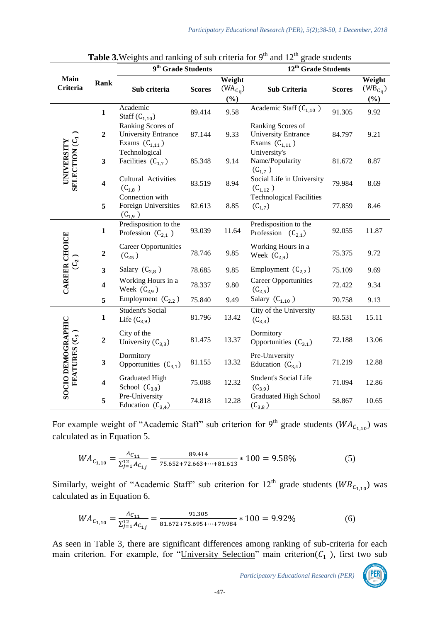|                                          |                         | 9 <sup>th</sup> Grade Students                                        |               | 12 <sup>th</sup> Grade Students |                                                                       |               |                 |
|------------------------------------------|-------------------------|-----------------------------------------------------------------------|---------------|---------------------------------|-----------------------------------------------------------------------|---------------|-----------------|
| Main                                     | Rank                    |                                                                       |               | Weight                          |                                                                       |               | Weight          |
| Criteria                                 |                         | Sub criteria                                                          | <b>Scores</b> | $(WA_{C_{ii}})$                 | Sub Criteria                                                          | <b>Scores</b> | $(WB_{C_{ij}})$ |
|                                          |                         |                                                                       |               | $(\%)$                          |                                                                       |               | $(\%)$          |
| SELECTION (C1<br>UNIVERSITY              | $\mathbf{1}$            | Academic<br>Staff $(C_{1.10})$                                        | 89.414        | 9.58                            | Academic Staff $(C_{1,10})$                                           | 91.305        | 9.92            |
|                                          | $\overline{2}$          | Ranking Scores of<br><b>University Entrance</b><br>Exams $(C_{1,11})$ | 87.144        | 9.33                            | Ranking Scores of<br><b>University Entrance</b><br>Exams $(C_{1,11})$ | 84.797        | 9.21            |
|                                          | $\overline{\mathbf{3}}$ | Technological<br>Facilities $(C_{1,7})$                               | 85.348        | 9.14                            | University's<br>Name/Popularity<br>$(C_{1,7})$                        | 81.672        | 8.87            |
|                                          | $\overline{\mathbf{4}}$ | Cultural Activities<br>$(C_{1,8})$                                    | 83.519        | 8.94                            | Social Life in University<br>$(C_{1,12})$                             | 79.984        | 8.69            |
|                                          | 5                       | Connection with<br>Foreign Universities<br>$(C_{1,9})$                | 82.613        | 8.85                            | <b>Technological Facilities</b><br>$(C_{1,7})$                        | 77.859        | 8.46            |
| <b>CAREER CHOICE</b>                     | $\mathbf{1}$            | Predisposition to the<br>Profession $(C_{2,1})$                       | 93.039        | 11.64                           | Predisposition to the<br>Profession $(C_{2,1})$                       | 92.055        | 11.87           |
|                                          | $\boldsymbol{2}$        | <b>Career Opportunities</b><br>$(C_{25})$                             | 78.746        | 9.85                            | Working Hours in a<br>Week $(C_{2,9})$                                | 75.375        | 9.72            |
| $\mathcal{C}$                            | $\mathbf{3}$            | Salary $(C_{2,8})$                                                    | 78.685        | 9.85                            | Employment $(C_{2,2})$                                                | 75.109        | 9.69            |
|                                          | $\overline{\mathbf{4}}$ | Working Hours in a<br>Week $(C_{2,9})$                                | 78.337        | 9.80                            | <b>Career Opportunities</b><br>$(C_{2,5})$                            | 72.422        | 9.34            |
|                                          | 5                       | Employment $(C_{2,2})$                                                | 75.840        | 9.49                            | Salary $(C_{1,10})$                                                   | 70.758        | 9.13            |
| <b>SOCIO DEMOGRAPHIC</b><br>FEATURES (C3 | $\mathbf{1}$            | Student's Social<br>Life $(C_{3.9})$                                  | 81.796        | 13.42                           | City of the University<br>$(C_{3,3})$                                 | 83.531        | 15.11           |
|                                          | $\boldsymbol{2}$        | City of the<br>University $(C_{3,3})$                                 | 81.475        | 13.37                           | Dormitory<br>Opportunities $(C_{3.1})$                                | 72.188        | 13.06           |
|                                          | $\mathbf{3}$            | Dormitory<br>Opportunities $(C_{3.1})$                                | 81.155        | 13.32                           | Pre-University<br>Education $(C_{3,4})$                               | 71.219        | 12.88           |
|                                          | $\overline{\mathbf{4}}$ | Graduated High<br>School $(C_{3,8})$                                  | 75.088        | 12.32                           | <b>Student's Social Life</b><br>$(C_{3,9})$                           | 71.094        | 12.86           |
|                                          | $\sqrt{5}$              | Pre-University<br>Education $(C_{3,4})$                               | 74.818        | 12.28                           | <b>Graduated High School</b><br>$(C_{3.8})$                           | 58.867        | 10.65           |

**Table 3.**Weights and ranking of sub criteria for  $9<sup>th</sup>$  and  $12<sup>th</sup>$  grade students

For example weight of "Academic Staff" sub criterion for 9<sup>th</sup> grade students ( $WA_{C_{1,10}}$ ) was calculated as in Equation 5.

$$
WA_{C_{1,10}} = \frac{A_{C_{11}}}{\sum_{j=1}^{12} A_{C_{1j}}} = \frac{89.414}{75.652 + 72.663 + \dots + 81.613} * 100 = 9.58\% \tag{5}
$$

Similarly, weight of "Academic Staff" sub criterion for  $12<sup>th</sup>$  grade students ( $W B_{C_{1,10}}$ ) was calculated as in Equation 6.

$$
WA_{C_{1,10}} = \frac{A_{C_{11}}}{\sum_{j=1}^{12} A_{C_{1j}}} = \frac{91.305}{81.672 + 75.695 + \dots + 79.984} * 100 = 9.92\%
$$
 (6)

As seen in Table 3, there are significant differences among ranking of sub-criteria for each main criterion. For example, for "University Selection" main criterion  $(C_1$ ), first two sub

*Participatory Educational Research (PER)*

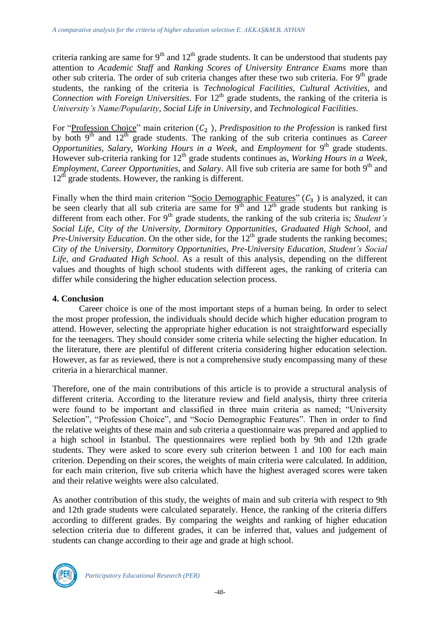criteria ranking are same for  $9<sup>th</sup>$  and  $12<sup>th</sup>$  grade students. It can be understood that students pay attention to *Academic Staff* and *Ranking Scores of University Entrance Exams* more than other sub criteria. The order of sub criteria changes after these two sub criteria. For  $9<sup>th</sup>$  grade students, the ranking of the criteria is *Technological Facilities*, *Cultural Activities,* and *Connection with Foreign Universities*. For 12<sup>th</sup> grade students, the ranking of the criteria is *University's Name/Popularity*, *Social Life in University,* and *Technological Facilities*.

For "Profession Choice" main criterion  $(C_2)$ , *Predisposition to the Profession* is ranked first by both 9th and 12th grade students. The ranking of the sub criteria continues as *Career Opportunities*, *Salary*, *Working Hours in a Week,* and *Employment* for 9 th grade students. However sub-criteria ranking for 12<sup>th</sup> grade students continues as, *Working Hours in a Week*, *Employment, Career Opportunities,* and *Salary*. All five sub criteria are same for both 9<sup>th</sup> and  $12<sup>th</sup>$  grade students. However, the ranking is different.

Finally when the third main criterion "Socio Demographic Features"  $(C_3$  ) is analyzed, it can be seen clearly that all sub criteria are same for  $9<sup>th</sup>$  and  $12<sup>th</sup>$  grade students but ranking is different from each other. For 9<sup>th</sup> grade students, the ranking of the sub criteria is; *Student's Social Life*, *City of the University*, *Dormitory Opportunities*, *Graduated High School,* and *Pre-University Education*. On the other side, for the 12<sup>th</sup> grade students the ranking becomes; *City of the University*, *Dormitory Opportunities*, *Pre-University Education, Student's Social Life, and Graduated High School*. As a result of this analysis, depending on the different values and thoughts of high school students with different ages, the ranking of criteria can differ while considering the higher education selection process.

### **4. Conclusion**

Career choice is one of the most important steps of a human being. In order to select the most proper profession, the individuals should decide which higher education program to attend. However, selecting the appropriate higher education is not straightforward especially for the teenagers. They should consider some criteria while selecting the higher education. In the literature, there are plentiful of different criteria considering higher education selection. However, as far as reviewed, there is not a comprehensive study encompassing many of these criteria in a hierarchical manner.

Therefore, one of the main contributions of this article is to provide a structural analysis of different criteria. According to the literature review and field analysis, thirty three criteria were found to be important and classified in three main criteria as named; "University Selection", "Profession Choice", and "Socio Demographic Features". Then in order to find the relative weights of these main and sub criteria a questionnaire was prepared and applied to a high school in Istanbul. The questionnaires were replied both by 9th and 12th grade students. They were asked to score every sub criterion between 1 and 100 for each main criterion. Depending on their scores, the weights of main criteria were calculated. In addition, for each main criterion, five sub criteria which have the highest averaged scores were taken and their relative weights were also calculated.

As another contribution of this study, the weights of main and sub criteria with respect to 9th and 12th grade students were calculated separately. Hence, the ranking of the criteria differs according to different grades. By comparing the weights and ranking of higher education selection criteria due to different grades, it can be inferred that, values and judgement of students can change according to their age and grade at high school.

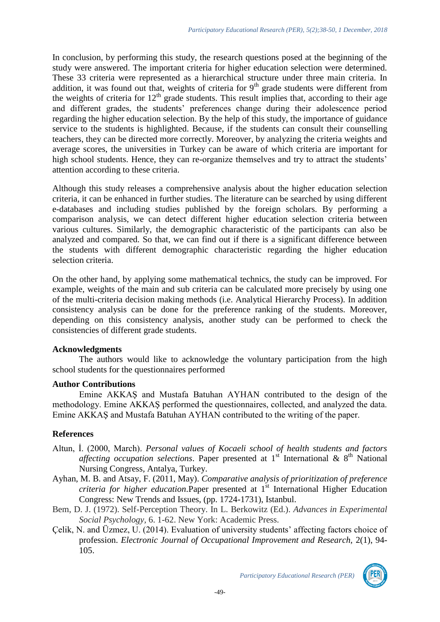In conclusion, by performing this study, the research questions posed at the beginning of the study were answered. The important criteria for higher education selection were determined. These 33 criteria were represented as a hierarchical structure under three main criteria. In addition, it was found out that, weights of criteria for  $9<sup>th</sup>$  grade students were different from the weights of criteria for  $12<sup>th</sup>$  grade students. This result implies that, according to their age and different grades, the students' preferences change during their adolescence period regarding the higher education selection. By the help of this study, the importance of guidance service to the students is highlighted. Because, if the students can consult their counselling teachers, they can be directed more correctly. Moreover, by analyzing the criteria weights and average scores, the universities in Turkey can be aware of which criteria are important for high school students. Hence, they can re-organize themselves and try to attract the students' attention according to these criteria.

Although this study releases a comprehensive analysis about the higher education selection criteria, it can be enhanced in further studies. The literature can be searched by using different e-databases and including studies published by the foreign scholars. By performing a comparison analysis, we can detect different higher education selection criteria between various cultures. Similarly, the demographic characteristic of the participants can also be analyzed and compared. So that, we can find out if there is a significant difference between the students with different demographic characteristic regarding the higher education selection criteria.

On the other hand, by applying some mathematical technics, the study can be improved. For example, weights of the main and sub criteria can be calculated more precisely by using one of the multi-criteria decision making methods (i.e. Analytical Hierarchy Process). In addition consistency analysis can be done for the preference ranking of the students. Moreover, depending on this consistency analysis, another study can be performed to check the consistencies of different grade students.

### **Acknowledgments**

The authors would like to acknowledge the voluntary participation from the high school students for the questionnaires performed

#### **Author Contributions**

Emine AKKAŞ and Mustafa Batuhan AYHAN contributed to the design of the methodology. Emine AKKAŞ performed the questionnaires, collected, and analyzed the data. Emine AKKAŞ and Mustafa Batuhan AYHAN contributed to the writing of the paper.

### **References**

- Altun, İ. (2000, March). *Personal values of Kocaeli school of health students and factors*  affecting occupation selections. Paper presented at 1<sup>st</sup> International & 8<sup>th</sup> National Nursing Congress*,* Antalya, Turkey.
- Ayhan, M. B. and Atsay, F. (2011, May). *Comparative analysis of prioritization of preference criteria for higher education*.Paper presented at 1st International Higher Education Congress: New Trends and Issues, (pp. 1724-1731), Istanbul.
- Bem, D. J. (1972). Self-Perception Theory. In L. Berkowitz (Ed.). *Advances in Experimental Social Psychology,* 6. 1-62. New York: Academic Press.
- Çelik, N. and Üzmez, U. (2014). Evaluation of university students' affecting factors choice of profession. *Electronic Journal of Occupational Improvement and Research,* 2(1), 94- 105.